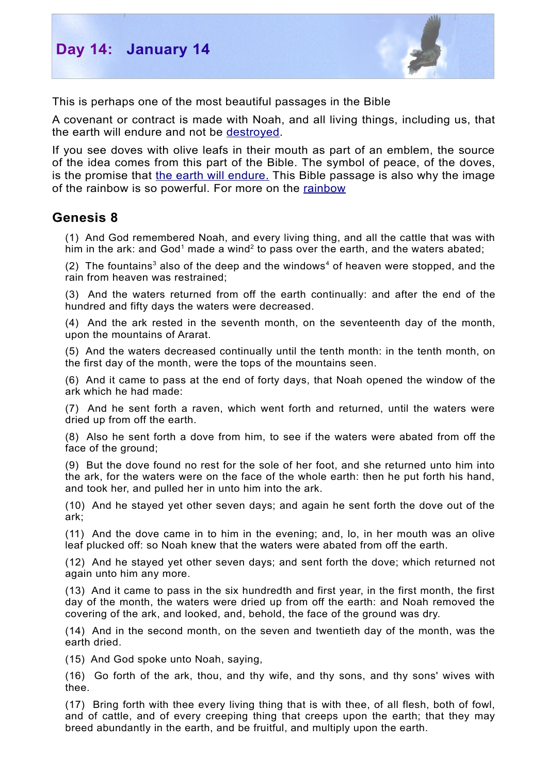

This is perhaps one of the most beautiful passages in the Bible

A covenant or contract is made with Noah, and all living things, including us, that the earth will endure and not be [destroyed.](http://biblefocus.net/consider/v02Isaiah/index.html)

If you see doves with olive leafs in their mouth as part of an emblem, the source of the idea comes from this part of the Bible. The symbol of peace, of the doves, is the promise that the earth will [endure.](http://biblefocus.net/books/an-enduring-earth/index.html) This Bible passage is also why the image of the rainbow is so powerful. For more on the [rainbow](http://biblefocus.net/consider/v20rainbow/index.html)

## **Genesis 8**

(1) And God remembered Noah, and every living thing, and all the cattle that was with him in the ark: and God<sup>[1](#page-1-0)</sup> made a wind<sup>[2](#page-1-1)</sup> to pass over the earth, and the waters abated;

(2) The fountains<sup>[3](#page-1-2)</sup> also of the deep and the windows<sup>[4](#page-1-3)</sup> of heaven were stopped, and the rain from heaven was restrained;

(3) And the waters returned from off the earth continually: and after the end of the hundred and fifty days the waters were decreased.

(4) And the ark rested in the seventh month, on the seventeenth day of the month, upon the mountains of Ararat.

(5) And the waters decreased continually until the tenth month: in the tenth month, on the first day of the month, were the tops of the mountains seen.

(6) And it came to pass at the end of forty days, that Noah opened the window of the ark which he had made:

(7) And he sent forth a raven, which went forth and returned, until the waters were dried up from off the earth.

(8) Also he sent forth a dove from him, to see if the waters were abated from off the face of the ground;

(9) But the dove found no rest for the sole of her foot, and she returned unto him into the ark, for the waters were on the face of the whole earth: then he put forth his hand, and took her, and pulled her in unto him into the ark.

(10) And he stayed yet other seven days; and again he sent forth the dove out of the ark;

(11) And the dove came in to him in the evening; and, lo, in her mouth was an olive leaf plucked off: so Noah knew that the waters were abated from off the earth.

(12) And he stayed yet other seven days; and sent forth the dove; which returned not again unto him any more.

(13) And it came to pass in the six hundredth and first year, in the first month, the first day of the month, the waters were dried up from off the earth: and Noah removed the covering of the ark, and looked, and, behold, the face of the ground was dry.

(14) And in the second month, on the seven and twentieth day of the month, was the earth dried.

(15) And God spoke unto Noah, saying,

(16) Go forth of the ark, thou, and thy wife, and thy sons, and thy sons' wives with thee.

(17) Bring forth with thee every living thing that is with thee, of all flesh, both of fowl, and of cattle, and of every creeping thing that creeps upon the earth; that they may breed abundantly in the earth, and be fruitful, and multiply upon the earth.